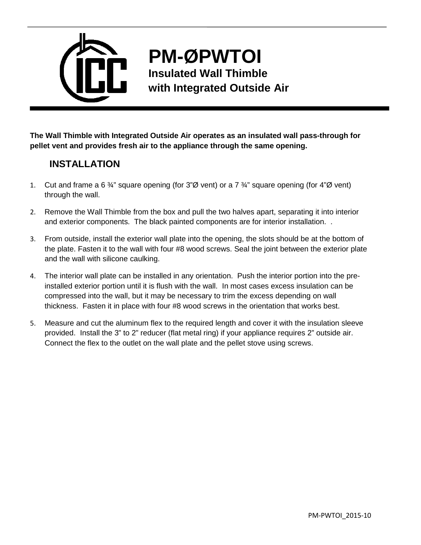

## **PM-ØPWTOI Insulated Wall Thimble**

**with Integrated Outside Air**

**The Wall Thimble with Integrated Outside Air operates as an insulated wall pass-through for pellet vent and provides fresh air to the appliance through the same opening.** 

## **INSTALLATION**

- 1. Cut and frame a 6  $\frac{3}{4}$ " square opening (for 3"Ø vent) or a 7  $\frac{3}{4}$ " square opening (for 4"Ø vent) through the wall.
- 2. Remove the Wall Thimble from the box and pull the two halves apart, separating it into interior and exterior components. The black painted components are for interior installation. .
- 3. From outside, install the exterior wall plate into the opening, the slots should be at the bottom of the plate. Fasten it to the wall with four #8 wood screws. Seal the joint between the exterior plate and the wall with silicone caulking.
- 4. The interior wall plate can be installed in any orientation. Push the interior portion into the preinstalled exterior portion until it is flush with the wall. In most cases excess insulation can be compressed into the wall, but it may be necessary to trim the excess depending on wall thickness. Fasten it in place with four #8 wood screws in the orientation that works best.
- 5. Measure and cut the aluminum flex to the required length and cover it with the insulation sleeve provided. Install the 3" to 2" reducer (flat metal ring) if your appliance requires 2" outside air. Connect the flex to the outlet on the wall plate and the pellet stove using screws.